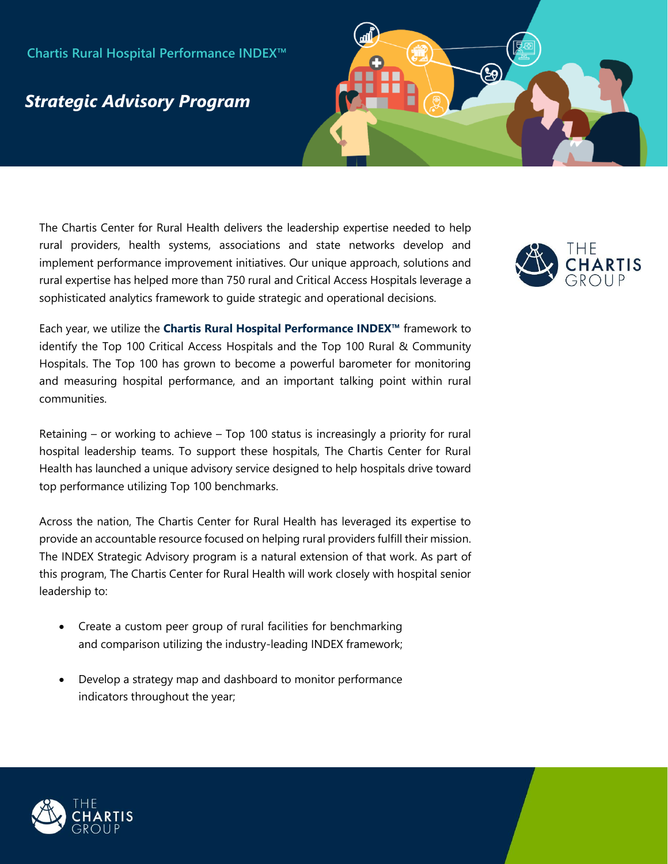## **Chartis Rural Hospital Performance INDEX™**

## *Strategic Advisory Program*

The Chartis Center for Rural Health delivers the leadership expertise needed to help rural providers, health systems, associations and state networks develop and implement performance improvement initiatives. Our unique approach, solutions and rural expertise has helped more than 750 rural and Critical Access Hospitals leverage a sophisticated analytics framework to guide strategic and operational decisions.

Each year, we utilize the **Chartis Rural Hospital Performance INDEX™** framework to identify the Top 100 Critical Access Hospitals and the Top 100 Rural & Community Hospitals. The Top 100 has grown to become a powerful barometer for monitoring and measuring hospital performance, and an important talking point within rural communities.

Retaining – or working to achieve – Top 100 status is increasingly a priority for rural hospital leadership teams. To support these hospitals, The Chartis Center for Rural Health has launched a unique advisory service designed to help hospitals drive toward top performance utilizing Top 100 benchmarks.

Across the nation, The Chartis Center for Rural Health has leveraged its expertise to provide an accountable resource focused on helping rural providers fulfill their mission. The INDEX Strategic Advisory program is a natural extension of that work. As part of this program, The Chartis Center for Rural Health will work closely with hospital senior leadership to:

- Create a custom peer group of rural facilities for benchmarking and comparison utilizing the industry-leading INDEX framework;
- Develop a strategy map and dashboard to monitor performance indicators throughout the year;